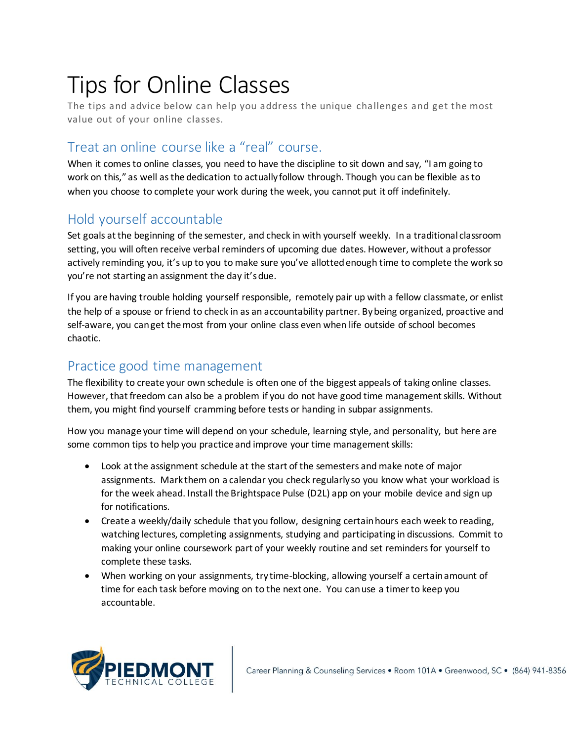# Tips for Online Classes

The tips and advice below can help you address the unique challenges and get the most value out of your online classes.

# Treat an online course like a "real" course.

When it comes to online classes, you need to have the discipline to sit down and say, "I am going to work on this," as well as the dedication to actually follow through. Though you can be flexible as to when you choose to complete your work during the week, you cannot put it off indefinitely.

## Hold yourself accountable

Set goals at the beginning of the semester, and check in with yourself weekly. In a traditional classroom setting, you will often receive verbal reminders of upcoming due dates. However, without a professor actively reminding you, it's up to you to make sure you've allotted enough time to complete the work so you're not starting an assignment the day it's due.

If you are having trouble holding yourself responsible, remotely pair up with a fellow classmate, or enlist the help of a spouse or friend to check in as an accountability partner. By being organized, proactive and self-aware, you can get the most from your online class even when life outside of school becomes chaotic.

## Practice good time management

The flexibility to create your own schedule is often one of the biggest appeals of taking online classes. However, that freedom can also be a problem if you do not have good time management skills. Without them, you might find yourself cramming before tests or handing in subpar assignments.

How you manage your time will depend on your schedule, learning style, and personality, but here are some common tips to help you practice and improve your time management skills:

- Look at the assignment schedule at the start of the semesters and make note of major assignments. Mark them on a calendar you check regularly so you know what your workload is for the week ahead. Install the Brightspace Pulse (D2L) app on your mobile device and sign up for notifications.
- Create a weekly/daily schedule that you follow, designing certain hours each week to reading, watching lectures, completing assignments, studying and participating in discussions. Commit to making your online coursework part of your weekly routine and set reminders for yourself to complete these tasks.
- When working on your assignments, try time-blocking, allowing yourself a certain amount of time for each task before moving on to the next one. You can use a timer to keep you accountable.

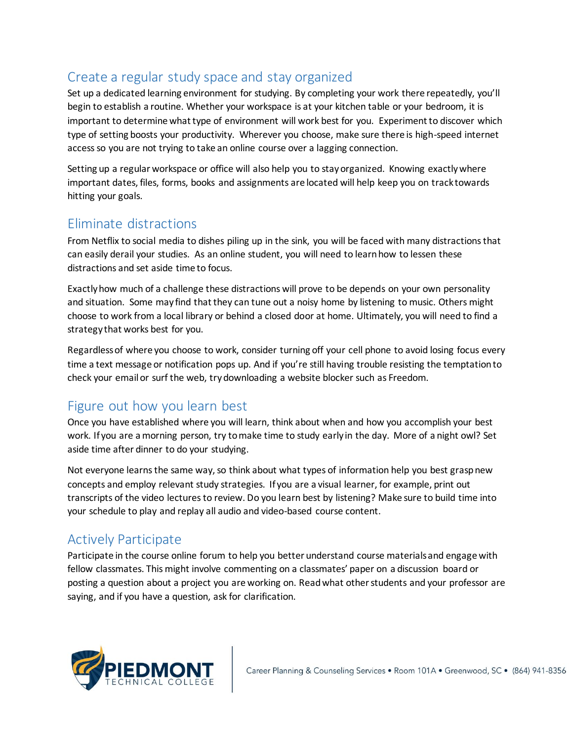# Create a regular study space and stay organized

Set up a dedicated learning environment for studying. By completing your work there repeatedly, you'll begin to establish a routine. Whether your workspace is at your kitchen table or your bedroom, it is important to determine what type of environment will work best for you. Experiment to discover which type of setting boosts your productivity. Wherever you choose, make sure there is high-speed internet access so you are not trying to take an online course over a lagging connection.

Setting up a regular workspace or office will also help you to stay organized. Knowing exactly where important dates, files, forms, books and assignments are located will help keep you on track towards hitting your goals.

## Eliminate distractions

From Netflix to social media to dishes piling up in the sink, you will be faced with many distractions that can easily derail your studies. As an online student, you will need to learn how to lessen these distractions and set aside time to focus.

Exactly how much of a challenge these distractions will prove to be depends on your own personality and situation. Some may find that they can tune out a noisy home by listening to music. Others might choose to work from a local library or behind a closed door at home. Ultimately, you will need to find a strategy that works best for you.

Regardless of where you choose to work, consider turning off your cell phone to avoid losing focus every time a text message or notification pops up. And if you're still having trouble resisting the temptation to check your email or surf the web, try downloading a website blocker such as Freedom.

#### Figure out how you learn best

Once you have established where you will learn, think about when and how you accomplish your best work. If you are a morning person, try to make time to study early in the day. More of a night owl? Set aside time after dinner to do your studying.

Not everyone learns the same way, so think about what types of information help you best grasp new concepts and employ relevant study strategies. If you are a visual learner, for example, print out transcripts of the video lectures to review. Do you learn best by listening? Make sure to build time into your schedule to play and replay all audio and video-based course content.

# Actively Participate

Participate in the course online forum to help you better understand course materials and engage with fellow classmates. This might involve commenting on a classmates' paper on a discussion board or posting a question about a project you are working on. Read what other students and your professor are saying, and if you have a question, ask for clarification.